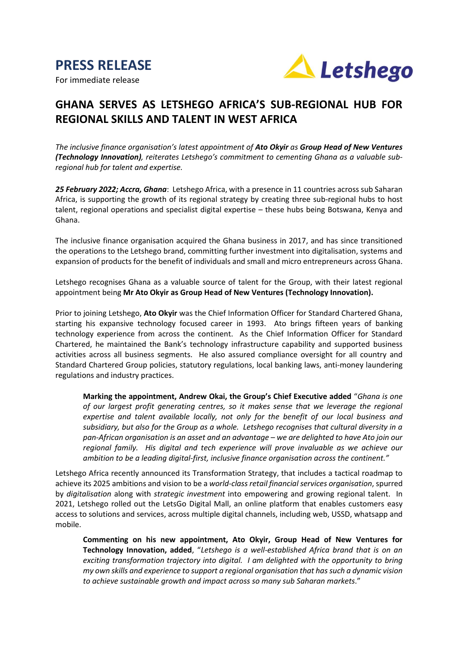

For immediate release



# **GHANA SERVES AS LETSHEGO AFRICA'S SUB-REGIONAL HUB FOR REGIONAL SKILLS AND TALENT IN WEST AFRICA**

*The inclusive finance organisation's latest appointment of Ato Okyir as Group Head of New Ventures (Technology Innovation), reiterates Letshego's commitment to cementing Ghana as a valuable subregional hub for talent and expertise.*

*25 February 2022; Accra, Ghana*: Letshego Africa, with a presence in 11 countries across sub Saharan Africa, is supporting the growth of its regional strategy by creating three sub-regional hubs to host talent, regional operations and specialist digital expertise – these hubs being Botswana, Kenya and Ghana.

The inclusive finance organisation acquired the Ghana business in 2017, and has since transitioned the operations to the Letshego brand, committing further investment into digitalisation, systems and expansion of products for the benefit of individuals and small and micro entrepreneurs across Ghana.

Letshego recognises Ghana as a valuable source of talent for the Group, with their latest regional appointment being **Mr Ato Okyir as Group Head of New Ventures (Technology Innovation).**

Prior to joining Letshego, **Ato Okyir** was the Chief Information Officer for Standard Chartered Ghana, starting his expansive technology focused career in 1993. Ato brings fifteen years of banking technology experience from across the continent. As the Chief Information Officer for Standard Chartered, he maintained the Bank's technology infrastructure capability and supported business activities across all business segments. He also assured compliance oversight for all country and Standard Chartered Group policies, statutory regulations, local banking laws, anti-money laundering regulations and industry practices.

**Marking the appointment, Andrew Okai, the Group's Chief Executive added** "*Ghana is one of our largest profit generating centres, so it makes sense that we leverage the regional expertise and talent available locally, not only for the benefit of our local business and subsidiary, but also for the Group as a whole. Letshego recognises that cultural diversity in a pan-African organisation is an asset and an advantage – we are delighted to have Ato join our regional family. His digital and tech experience will prove invaluable as we achieve our ambition to be a leading digital-first, inclusive finance organisation across the continent."*

Letshego Africa recently announced its Transformation Strategy, that includes a tactical roadmap to achieve its 2025 ambitions and vision to be a *world-class retail financial services organisation*, spurred by *digitalisation* along with *strategic investment* into empowering and growing regional talent. In 2021, Letshego rolled out the LetsGo Digital Mall, an online platform that enables customers easy access to solutions and services, across multiple digital channels, including web, USSD, whatsapp and mobile.

**Commenting on his new appointment, Ato Okyir, Group Head of New Ventures for Technology Innovation, added**, "*Letshego is a well-established Africa brand that is on an exciting transformation trajectory into digital. I am delighted with the opportunity to bring my own skills and experience to support a regional organisation that has such a dynamic vision to achieve sustainable growth and impact across so many sub Saharan markets*."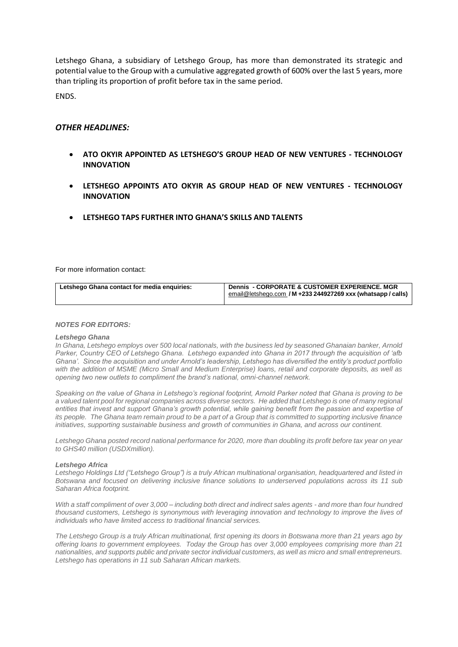Letshego Ghana, a subsidiary of Letshego Group, has more than demonstrated its strategic and potential value to the Group with a cumulative aggregated growth of 600% over the last 5 years, more than tripling its proportion of profit before tax in the same period.

ENDS.

## *OTHER HEADLINES:*

- **ATO OKYIR APPOINTED AS LETSHEGO'S GROUP HEAD OF NEW VENTURES - TECHNOLOGY INNOVATION**
- **LETSHEGO APPOINTS ATO OKYIR AS GROUP HEAD OF NEW VENTURES - TECHNOLOGY INNOVATION**
- **LETSHEGO TAPS FURTHER INTO GHANA'S SKILLS AND TALENTS**

For more information contact:

| Letshego Ghana contact for media enquiries: | <b>Dennis - CORPORATE &amp; CUSTOMER EXPERIENCE. MGR</b><br>email@letshego.com / M +233 244927269 xxx (whatsapp / calls) |
|---------------------------------------------|--------------------------------------------------------------------------------------------------------------------------|
|                                             |                                                                                                                          |

### *NOTES FOR EDITORS:*

#### *Letshego Ghana*

*In Ghana, Letshego employs over 500 local nationals, with the business led by seasoned Ghanaian banker, Arnold Parker, Country CEO of Letshego Ghana. Letshego expanded into Ghana in 2017 through the acquisition of 'afb Ghana'. Since the acquisition and under Arnold's leadership, Letshego has diversified the entity's product portfolio with the addition of MSME (Micro Small and Medium Enterprise) loans, retail and corporate deposits, as well as opening two new outlets to compliment the brand's national, omni-channel network.* 

*Speaking on the value of Ghana in Letshego's regional footprint, Arnold Parker noted that Ghana is proving to be a valued talent pool for regional companies across diverse sectors. He added that Letshego is one of many regional*  entities that invest and support Ghana's growth potential, while gaining benefit from the passion and expertise of *its people. The Ghana team remain proud to be a part of a Group that is committed to supporting inclusive finance initiatives, supporting sustainable business and growth of communities in Ghana, and across our continent.*

*Letshego Ghana posted record national performance for 2020, more than doubling its profit before tax year on year to GHS40 million (USDXmillion).*

#### *Letshego Africa*

*Letshego Holdings Ltd ("Letshego Group") is a truly African multinational organisation, headquartered and listed in Botswana and focused on delivering inclusive finance solutions to underserved populations across its 11 sub Saharan Africa footprint.* 

*With a staff compliment of over 3,000 – including both direct and indirect sales agents - and more than four hundred thousand customers, Letshego is synonymous with leveraging innovation and technology to improve the lives of individuals who have limited access to traditional financial services.* 

*The Letshego Group is a truly African multinational, first opening its doors in Botswana more than 21 years ago by offering loans to government employees. Today the Group has over 3,000 employees comprising more than 21 nationalities, and supports public and private sector individual customers, as well as micro and small entrepreneurs. Letshego has operations in 11 sub Saharan African markets.*